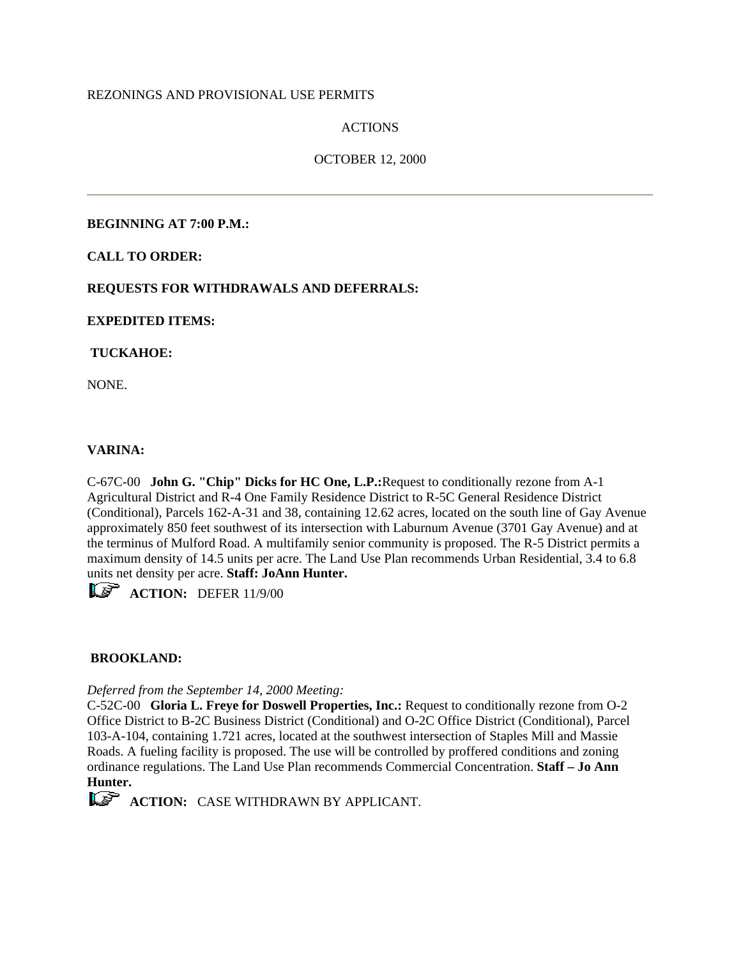## REZONINGS AND PROVISIONAL USE PERMITS

## ACTIONS

## OCTOBER 12, 2000

## **BEGINNING AT 7:00 P.M.:**

## **CALL TO ORDER:**

## **REQUESTS FOR WITHDRAWALS AND DEFERRALS:**

#### **EXPEDITED ITEMS:**

## **TUCKAHOE:**

NONE.

## **VARINA:**

C-67C-00 **John G. "Chip" Dicks for HC One, L.P.:**Request to conditionally rezone from A-1 Agricultural District and R-4 One Family Residence District to R-5C General Residence District (Conditional), Parcels 162-A-31 and 38, containing 12.62 acres, located on the south line of Gay Avenue approximately 850 feet southwest of its intersection with Laburnum Avenue (3701 Gay Avenue) and at the terminus of Mulford Road. A multifamily senior community is proposed. The R-5 District permits a maximum density of 14.5 units per acre. The Land Use Plan recommends Urban Residential, 3.4 to 6.8 units net density per acre. **Staff: JoAnn Hunter.**

**LS** ACTION: DEFER 11/9/00

#### **BROOKLAND:**

#### *Deferred from the September 14, 2000 Meeting:*

C-52C-00 **Gloria L. Freye for Doswell Properties, Inc.:** Request to conditionally rezone from O-2 Office District to B-2C Business District (Conditional) and O-2C Office District (Conditional), Parcel 103-A-104, containing 1.721 acres, located at the southwest intersection of Staples Mill and Massie Roads. A fueling facility is proposed. The use will be controlled by proffered conditions and zoning ordinance regulations. The Land Use Plan recommends Commercial Concentration. **Staff – Jo Ann Hunter.** 

**ACTION:** CASE WITHDRAWN BY APPLICANT.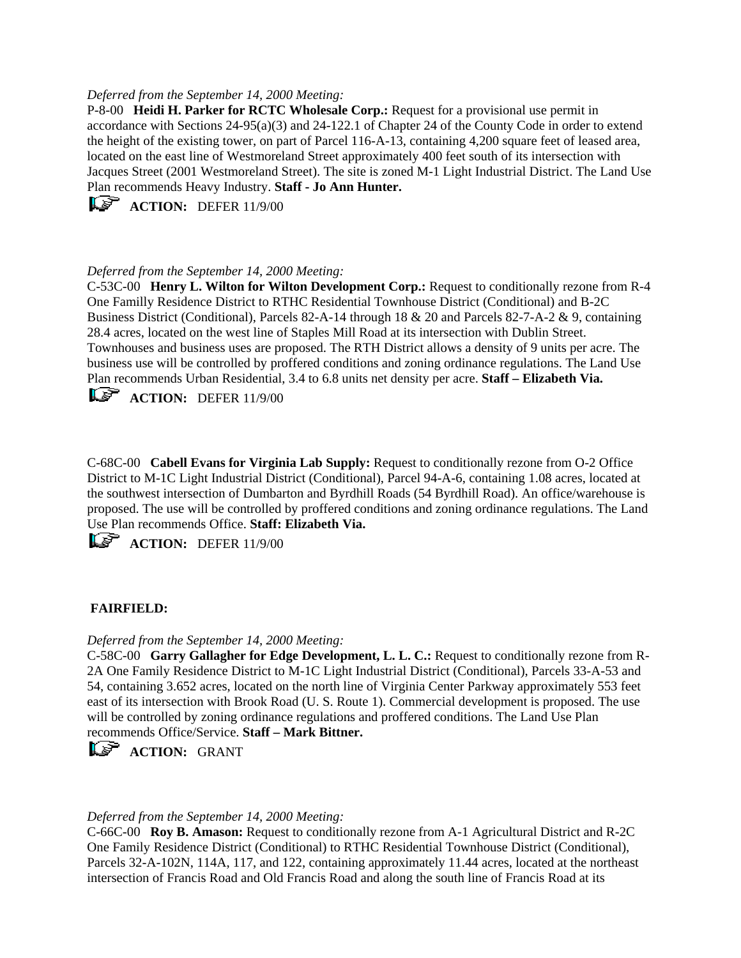### *Deferred from the September 14, 2000 Meeting:*

P-8-00 **Heidi H. Parker for RCTC Wholesale Corp.:** Request for a provisional use permit in accordance with Sections 24-95(a)(3) and 24-122.1 of Chapter 24 of the County Code in order to extend the height of the existing tower, on part of Parcel 116-A-13, containing 4,200 square feet of leased area, located on the east line of Westmoreland Street approximately 400 feet south of its intersection with Jacques Street (2001 Westmoreland Street). The site is zoned M-1 Light Industrial District. The Land Use Plan recommends Heavy Industry. **Staff - Jo Ann Hunter.**

**ACTION:** DEFER 11/9/00

## *Deferred from the September 14, 2000 Meeting:*

C-53C-00 **Henry L. Wilton for Wilton Development Corp.:** Request to conditionally rezone from R-4 One Familly Residence District to RTHC Residential Townhouse District (Conditional) and B-2C Business District (Conditional), Parcels 82-A-14 through 18 & 20 and Parcels 82-7-A-2 & 9, containing 28.4 acres, located on the west line of Staples Mill Road at its intersection with Dublin Street. Townhouses and business uses are proposed. The RTH District allows a density of 9 units per acre. The business use will be controlled by proffered conditions and zoning ordinance regulations. The Land Use Plan recommends Urban Residential, 3.4 to 6.8 units net density per acre. **Staff – Elizabeth Via.** 

**ACTION:** DEFER 11/9/00

C-68C-00 **Cabell Evans for Virginia Lab Supply:** Request to conditionally rezone from O-2 Office District to M-1C Light Industrial District (Conditional), Parcel 94-A-6, containing 1.08 acres, located at the southwest intersection of Dumbarton and Byrdhill Roads (54 Byrdhill Road). An office/warehouse is proposed. The use will be controlled by proffered conditions and zoning ordinance regulations. The Land Use Plan recommends Office. **Staff: Elizabeth Via.** 

 $\mathbf{L} \mathbf{F}$  **ACTION:** DEFER 11/9/00

## **FAIRFIELD:**

## *Deferred from the September 14, 2000 Meeting:*

C-58C-00 **Garry Gallagher for Edge Development, L. L. C.:** Request to conditionally rezone from R-2A One Family Residence District to M-1C Light Industrial District (Conditional), Parcels 33-A-53 and 54, containing 3.652 acres, located on the north line of Virginia Center Parkway approximately 553 feet east of its intersection with Brook Road (U. S. Route 1). Commercial development is proposed. The use will be controlled by zoning ordinance regulations and proffered conditions. The Land Use Plan recommends Office/Service. **Staff – Mark Bittner.**



#### *Deferred from the September 14, 2000 Meeting:*

C-66C-00 **Roy B. Amason:** Request to conditionally rezone from A-1 Agricultural District and R-2C One Family Residence District (Conditional) to RTHC Residential Townhouse District (Conditional), Parcels 32-A-102N, 114A, 117, and 122, containing approximately 11.44 acres, located at the northeast intersection of Francis Road and Old Francis Road and along the south line of Francis Road at its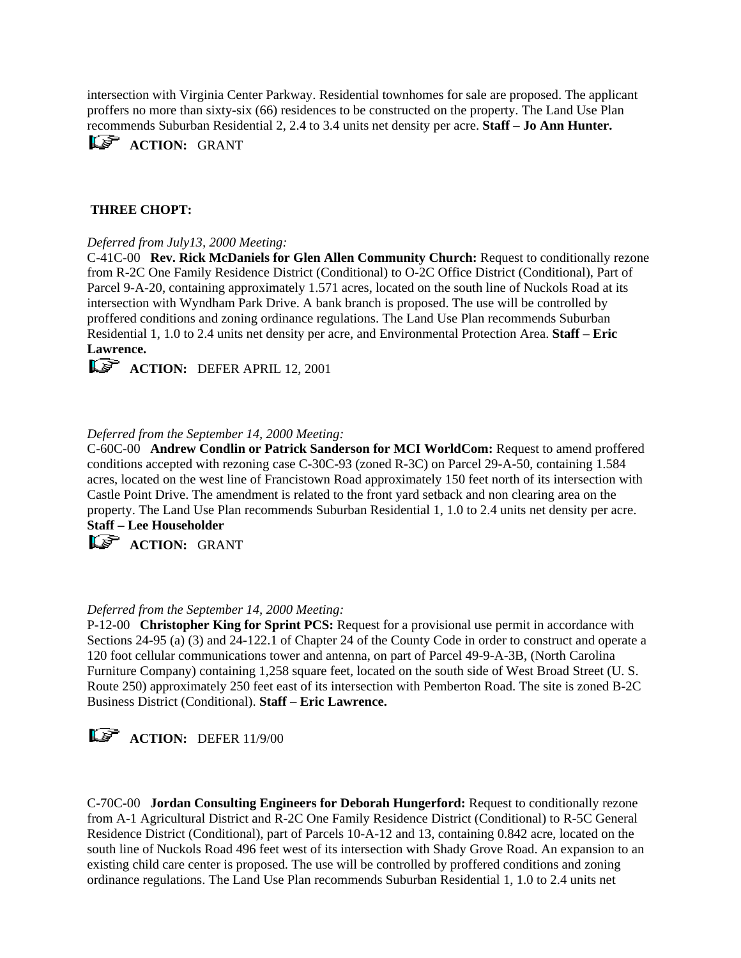intersection with Virginia Center Parkway. Residential townhomes for sale are proposed. The applicant proffers no more than sixty-six (66) residences to be constructed on the property. The Land Use Plan recommends Suburban Residential 2, 2.4 to 3.4 units net density per acre. **Staff – Jo Ann Hunter.**

**ACTION: GRANT** 

# **THREE CHOPT:**

## *Deferred from July13, 2000 Meeting:*

C-41C-00 **Rev. Rick McDaniels for Glen Allen Community Church:** Request to conditionally rezone from R-2C One Family Residence District (Conditional) to O-2C Office District (Conditional), Part of Parcel 9-A-20, containing approximately 1.571 acres, located on the south line of Nuckols Road at its intersection with Wyndham Park Drive. A bank branch is proposed. The use will be controlled by proffered conditions and zoning ordinance regulations. The Land Use Plan recommends Suburban Residential 1, 1.0 to 2.4 units net density per acre, and Environmental Protection Area. **Staff – Eric Lawrence.**

**ACTION:** DEFER APRIL 12, 2001

## *Deferred from the September 14, 2000 Meeting:*

C-60C-00 **Andrew Condlin or Patrick Sanderson for MCI WorldCom:** Request to amend proffered conditions accepted with rezoning case C-30C-93 (zoned R-3C) on Parcel 29-A-50, containing 1.584 acres, located on the west line of Francistown Road approximately 150 feet north of its intersection with Castle Point Drive. The amendment is related to the front yard setback and non clearing area on the property. The Land Use Plan recommends Suburban Residential 1, 1.0 to 2.4 units net density per acre. **Staff – Lee Householder**

**ACTION: GRANT** 

## *Deferred from the September 14, 2000 Meeting:*

P-12-00 **Christopher King for Sprint PCS:** Request for a provisional use permit in accordance with Sections 24-95 (a) (3) and 24-122.1 of Chapter 24 of the County Code in order to construct and operate a 120 foot cellular communications tower and antenna, on part of Parcel 49-9-A-3B, (North Carolina Furniture Company) containing 1,258 square feet, located on the south side of West Broad Street (U. S. Route 250) approximately 250 feet east of its intersection with Pemberton Road. The site is zoned B-2C Business District (Conditional). **Staff – Eric Lawrence.**

**ACTION:** DEFER 11/9/00

C-70C-00 **Jordan Consulting Engineers for Deborah Hungerford:** Request to conditionally rezone from A-1 Agricultural District and R-2C One Family Residence District (Conditional) to R-5C General Residence District (Conditional), part of Parcels 10-A-12 and 13, containing 0.842 acre, located on the south line of Nuckols Road 496 feet west of its intersection with Shady Grove Road. An expansion to an existing child care center is proposed. The use will be controlled by proffered conditions and zoning ordinance regulations. The Land Use Plan recommends Suburban Residential 1, 1.0 to 2.4 units net